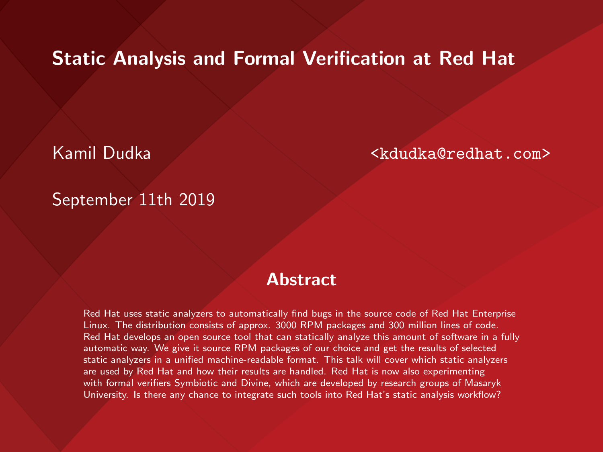#### Static Analysis and Formal Verification at Red Hat

Kamil Dudka <kdudka@redhat.com>

#### September 11th 2019

#### **Abstract**

Red Hat uses static analyzers to automatically find bugs in the source code of Red Hat Enterprise Linux. The distribution consists of approx. 3000 RPM packages and 300 million lines of code. Red Hat develops an open source tool that can statically analyze this amount of software in a fully automatic way. We give it source RPM packages of our choice and get the results of selected static analyzers in a unified machine-readable format. This talk will cover which static analyzers are used by Red Hat and how their results are handled. Red Hat is now also experimenting with formal verifiers Symbiotic and Divine, which are developed by research groups of Masaryk University. Is there any chance to integrate such tools into Red Hat's static analysis workflow?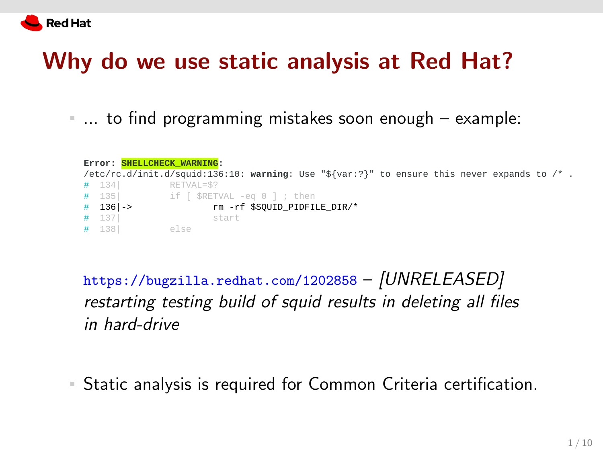

### Why do we use static analysis at Red Hat?

... to find programming mistakes soon enough – example:

| Error: SHELLCHECK WARNING:<br>/etc/rc.d/init.d/squid:136:10: warning: Use "\${var:?}" to ensure this never expands to $\prime^*$ . |              |                                          |  |  |  |  |  |  |  |  |  |  |
|------------------------------------------------------------------------------------------------------------------------------------|--------------|------------------------------------------|--|--|--|--|--|--|--|--|--|--|
|                                                                                                                                    | $#$ 134      | RETVAL=\$?                               |  |  |  |  |  |  |  |  |  |  |
|                                                                                                                                    |              | $#$ 135 if $ $ \$RETVAL -eq 0 $ $ ; then |  |  |  |  |  |  |  |  |  |  |
|                                                                                                                                    | $#$ 136   -> | rm -rf \$SOUID PIDFILE DIR/*             |  |  |  |  |  |  |  |  |  |  |
|                                                                                                                                    | # 137        | start                                    |  |  |  |  |  |  |  |  |  |  |
|                                                                                                                                    | # 138        | else                                     |  |  |  |  |  |  |  |  |  |  |

<https://bugzilla.redhat.com/1202858> – [UNRELEASED] restarting testing build of squid results in deleting all files in hard-drive

Static analysis is required for Common Criteria certification.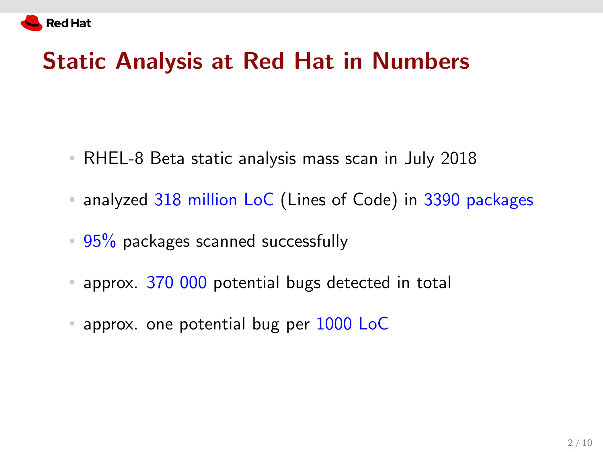

## Static Analysis at Red Hat in Numbers

- RHEL-8 Beta static analysis mass scan in July 2018
- **analyzed 318 million LoC** (Lines of Code) in 3390 packages
- $95\%$  packages scanned successfully
- **approx.** 370 000 potential bugs detected in total
- **approx.** one potential bug per 1000 LoC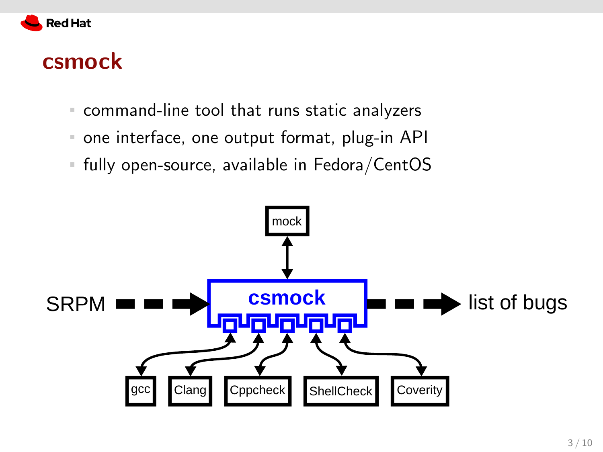

#### csmock

- command-line tool that runs static analyzers
- one interface, one output format, plug-in API  $\mathbb{R}^n$
- fully open-source, available in Fedora/CentOS  $\mathbb{R}^n$

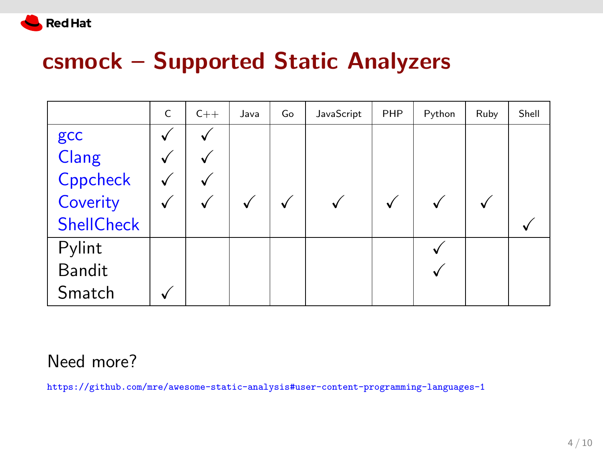

## csmock - Supported Static Analyzers

|                   | C | $C++$ | Java | Go | JavaScript | PHP          | Python | Ruby | Shell |
|-------------------|---|-------|------|----|------------|--------------|--------|------|-------|
| gcc               |   |       |      |    |            |              |        |      |       |
| Clang             |   |       |      |    |            |              |        |      |       |
| Cppcheck          |   |       |      |    |            |              |        |      |       |
| Coverity          |   |       |      |    |            | $\checkmark$ |        |      |       |
| <b>ShellCheck</b> |   |       |      |    |            |              |        |      |       |
| Pylint            |   |       |      |    |            |              |        |      |       |
| <b>Bandit</b>     |   |       |      |    |            |              |        |      |       |
| Smatch            |   |       |      |    |            |              |        |      |       |

#### Need more?

https://github.com/mre/awesome-static-analysis#user-content-programming-languages-1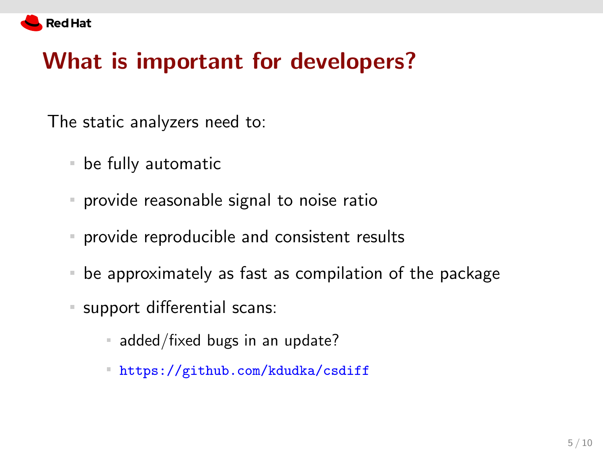

## What is important for developers?

The static analyzers need to:

- be fully automatic
- provide reasonable signal to noise ratio
- provide reproducible and consistent results
- be approximately as fast as compilation of the package
- support differential scans:
	- $\blacksquare$  added/fixed bugs in an update?
	- <https://github.com/kdudka/csdiff>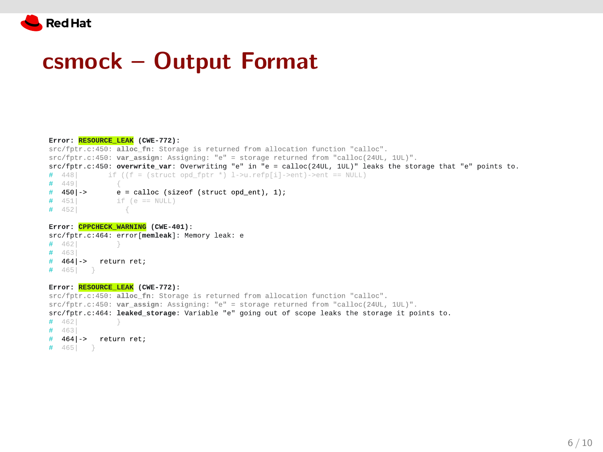

#### csmock - Output Format

#### Error: RESOURCE LEAK (CWE-772): src/fptr.c:450: alloc\_fn: Storage is returned from allocation function "calloc". src/fptr.c:450: var\_assign: Assigning: "e" = storage returned from "calloc(24UL, 1UL)". src/fptr.c:450: overwrite\_var: Overwriting "e" in "e = calloc(24UL, 1UL)" leaks the storage that "e" points to.  $# 4481$ if ((f = (struct opd\_fptr  $\sqrt[8]{}$  l->u.refp[i]->ent)->ent == NULL)  $# 4491$  $e =$  calloc (size of (struct ond ent), 1):  $#$  450 ->  $# 451$ if  $(e == NULL)$  $# 4521$ Error: CPPCHECK WARNING (CWE-401): src/fptr.c:464: error[memleak]: Memory leak: e

 $# 462$  $# 463$ # 464|-> return ret;  $# 465$  }

#### Error: RESOURCE\_LEAK (CWE-772):

```
src/fptr.c:450: alloc_fn: Storage is returned from allocation function "calloc".
src/fptr.c:450: var_assign: Assigning: "e" = storage returned from "calloc(24UL, 1UL)".
src/fptr.c:464: leaked_storage: Variable "e" going out of scope leaks the storage it points to
# 4621
# 4631# 4641-> return ret:
\# 465 }
```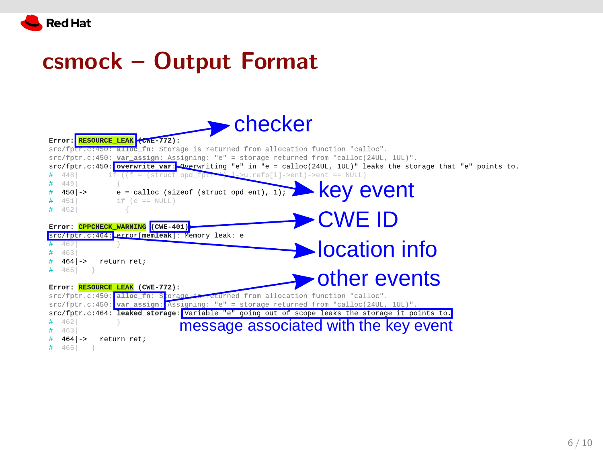

#### csmock – Output Format

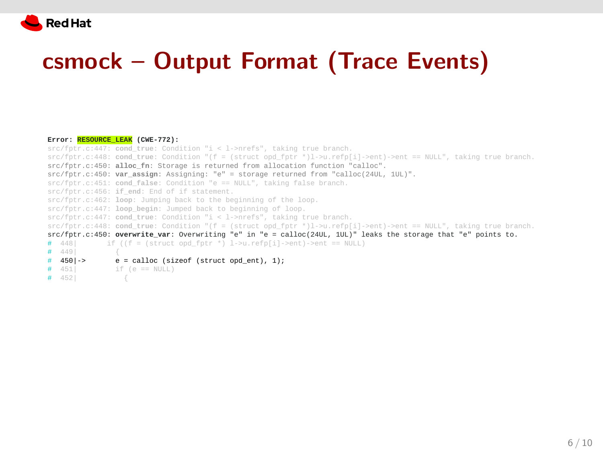

## csmock – Output Format (Trace Events)

| Error: RESOURCE LEAK (CWE-772):                                                                                      |
|----------------------------------------------------------------------------------------------------------------------|
| src/fptr.c:447: cond true: Condition "i < 1->nrefs", taking true branch.                                             |
| $src/fptr.c:448: cond_time: Condition "f = (struct opd_fptr *)1->u.refp[i]-2ent)-2ent == NULL", taking true branch.$ |
| src/fptr.c:450: alloc fn: Storage is returned from allocation function "calloc".                                     |
| src/fptr.c:450: var assign: Assigning: "e" = storage returned from "calloc(24UL, 1UL)".                              |
| src/fptr.c:451: cond false: Condition "e == NULL", taking false branch.                                              |
| src/fptr.c:456: if_end: End of if statement.                                                                         |
| src/fptr.c:462: loop: Jumping back to the beginning of the loop.                                                     |
| src/fptr.c:447: loop begin: Jumped back to beginning of loop.                                                        |
| $src/fptr.c:447: cond_true: Condition "i < 1->nrefs", taking true branch.$                                           |
| src/fptr.c:448: cond_true: Condition "(f = (struct opd_fptr *)1->u.refp[i]->ent)->ent == NULL", taking true branch.  |
| src/fptr.c:450: overwrite_var: Overwriting "e" in "e = calloc(24UL, 1UL)" leaks the storage that "e" points to.      |
| if $((f = (struct on for * ) 1->u, refp[i]-sent)->ent == NULL)$<br># 448                                             |
| # 449                                                                                                                |
| $#$ 450 -><br>$e =$ calloc (sizeof (struct opd_ent), 1);                                                             |
| # 451<br>if (e == NULL)                                                                                              |
| # 4521                                                                                                               |

6 / 10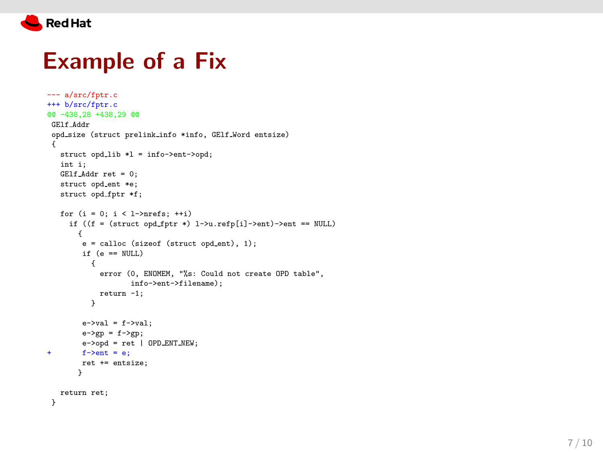

## Example of a Fix

```
--- a/src/fptr.c
+++ b/src/fptr.c
@@ -438,28 +438,29 @@
GElf Addr
 opd_size (struct prelink_info *info, GElf_Word entsize)
 {
  struct opd_lib *l = info->ent->opd;
  int i;
  GElf Addr ret = 0;
  struct opd_ent *e;
  struct opd_fptr *f;
   for (i = 0; i < 1->nrefs; ++i)if ((f = (struct opd.fptr *) 1->u.refp[i]->ent)->ent == NULL){
        e = calloc (sizeof (struct opd.ent), 1);
        if (e == NULL) {
            error (0, ENOMEM, "%s: Could not create OPD table",
                   info->ent->filename);
            return -1;
          }
        e->val = f->val;
        e->gp = f->gp;
       e->opd = ret | OPD ENT NEW;
+ f->ent = e;
        ret += entsize;
       }
   return ret;
 }
```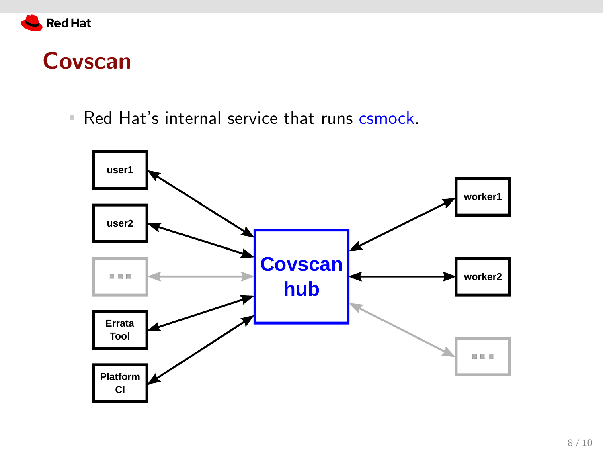

#### Covscan

Red Hat's internal service that runs csmock.

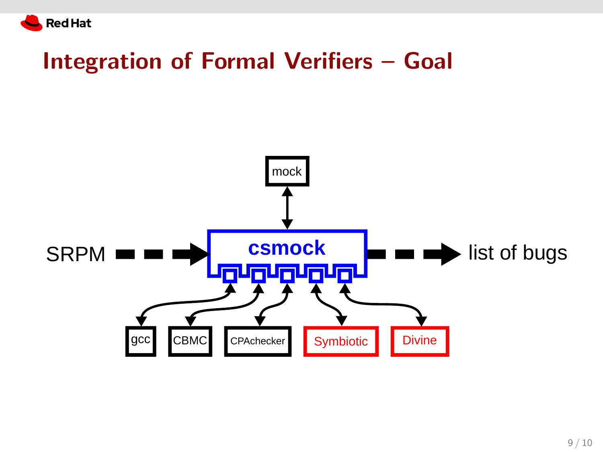

## Integration of Formal Verifiers – Goal